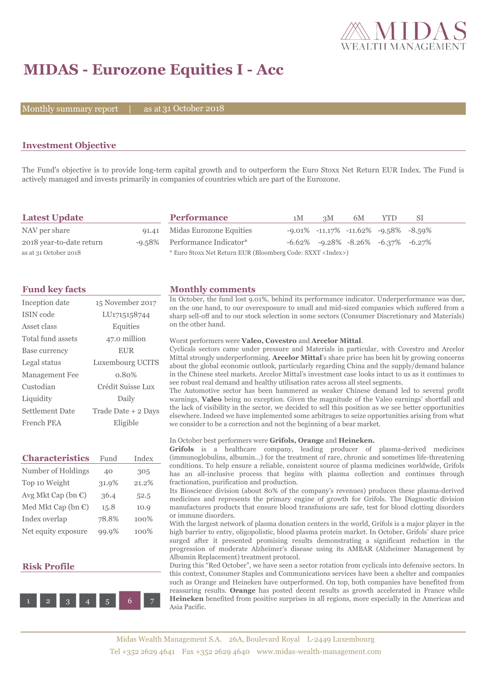

# **MIDAS - Eurozone Equities I - Acc**

Monthly summary report | as at 31 October 2018

### **Investment Objective**

The Fund's objective is to provide long-term capital growth and to outperform the Euro Stoxx Net Return EUR Index. The Fund is actively managed and invests primarily in companies of countries which are part of the Eurozone.

| <b>Latest Update</b>     |  | <b>Performance</b>                                                 | 1M | 3M | 6M                                                  | YTD. | -SI |  |
|--------------------------|--|--------------------------------------------------------------------|----|----|-----------------------------------------------------|------|-----|--|
| NAV per share            |  | 91.41 Midas Eurozone Equities                                      |    |    | $-9.01\%$ $-11.17\%$ $-11.62\%$ $-9.58\%$ $-8.59\%$ |      |     |  |
| 2018 year-to-date return |  | -9.58% Performance Indicator*                                      |    |    | $-6.62\%$ $-9.28\%$ $-8.26\%$ $-6.37\%$ $-6.27\%$   |      |     |  |
| as at 31 October 2018    |  | * Euro Stoxx Net Return EUR (Bloomberg Code: SXXT <index>)</index> |    |    |                                                     |      |     |  |

| Inception date         | 15 November 2017    |
|------------------------|---------------------|
| <b>ISIN</b> code       | LU1715158744        |
| Asset class            | Equities            |
| Total fund assets      | 47.0 million        |
| Base currency          | <b>EUR</b>          |
| Legal status           | Luxembourg UCITS    |
| <b>Management Fee</b>  | 0.80%               |
| Custodian              | Crédit Suisse Lux   |
| Liquidity              | Daily               |
| <b>Settlement Date</b> | Trade Date + 2 Days |
| French PEA             | Eligible            |

| <b>Characteristics</b>         | Fund  | Index |
|--------------------------------|-------|-------|
| Number of Holdings             | 40    | 305   |
| Top 10 Weight                  | 31.9% | 21.2% |
| Avg Mkt Cap (bn €)             | 36.4  | 52.5  |
| Med Mkt Cap (bn $\mathbb{C}$ ) | 15.8  | 10.9  |
| Index overlap                  | 78.8% | 100%  |
| Net equity exposure            | 99.9% | 100%  |

### **Risk Profile**



## **Fund key facts Monthly comments**

In October, the fund lost 9.01%, behind its performance indicator. Underperformance was due, on the one hand, to our overexposure to small and mid-sized companies which suffered from a sharp sell-off and to our stock selection in some sectors (Consumer Discretionary and Materials) on the other hand.

#### Worst performers were **Valeo, Covestro** and **Arcelor Mittal**.

Cyclicals sectors came under pressure and Materials in particular, with Covestro and Arcelor Mittal strongly underperforming. **Arcelor Mittal**'s share price has been hit by growing concerns about the global economic outlook, particularly regarding China and the supply/demand balance in the Chinese steel markets. Arcelor Mittal's investment case looks intact to us as it continues to see robust real demand and healthy utilisation rates across all steel segments.

The Automotive sector has been hammered as weaker Chinese demand led to several profit warnings, **Valeo** being no exception. Given the magnitude of the Valeo earnings' shortfall and the lack of visibility in the sector, we decided to sell this position as we see better opportunities elsewhere. Indeed we have implemented some arbitrages to seize opportunities arising from what we consider to be a correction and not the beginning of a bear market.

#### In October best performers were **Grifols, Orange** and **Heineken.**

Grifols is a healthcare company, leading producer of plasma-derived medicines (immunoglobulins, albumin…) for the treatment of rare, chronic and sometimes life-threatening conditions. To help ensure a reliable, consistent source of plasma medicines worldwide, Grifols has an all-inclusive process that begins with plasma collection and continues through fractionation, purification and production.

Its Bioscience division (about 80% of the company's revenues) produces these plasma-derived medicines and represents the primary engine of growth for Grifols. The Diagnostic division manufactures products that ensure blood transfusions are safe, test for blood clotting disorders or immune disorders.

With the largest network of plasma donation centers in the world, Grifols is a major player in the high barrier to entry, oligopolistic, blood plasma protein market. In October, Grifols' share price surged after it presented promising results demonstrating a significant reduction in the progression of moderate Alzheimer's disease using its AMBAR (Alzheimer Management by Albumin Replacement) treatment protocol.

During this "Red October", we have seen a sector rotation from cyclicals into defensive sectors. In this context, Consumer Staples and Communications services have been a shelter and companies such as Orange and Heineken have outperformed. On top, both companies have benefited from reassuring results. **Orange** has posted decent results as growth accelerated in France while **Heineken** benefited from positive surprises in all regions, more especially in the Americas and Asia Pacific.